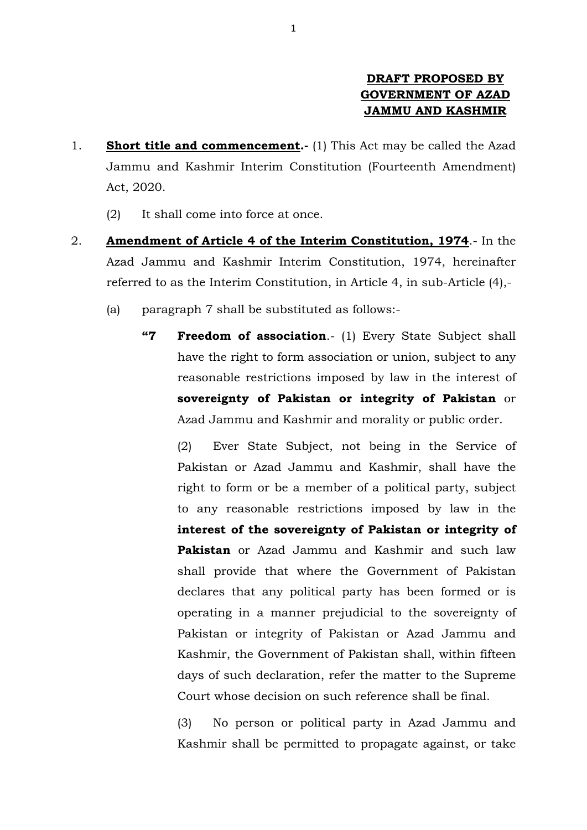## **DRAFT PROPOSED BY GOVERNMENT OF AZAD JAMMU AND KASHMIR**

- 1. **Short title and commencement.-** (1) This Act may be called the Azad Jammu and Kashmir Interim Constitution (Fourteenth Amendment) Act, 2020.
	- (2) It shall come into force at once.
- 2. **Amendment of Article 4 of the Interim Constitution, 1974**.- In the Azad Jammu and Kashmir Interim Constitution, 1974, hereinafter referred to as the Interim Constitution, in Article 4, in sub-Article (4),-
	- (a) paragraph 7 shall be substituted as follows:-
		- **"7 Freedom of association**.- (1) Every State Subject shall have the right to form association or union, subject to any reasonable restrictions imposed by law in the interest of **sovereignty of Pakistan or integrity of Pakistan** or Azad Jammu and Kashmir and morality or public order.

 (2) Ever State Subject, not being in the Service of Pakistan or Azad Jammu and Kashmir, shall have the right to form or be a member of a political party, subject to any reasonable restrictions imposed by law in the **interest of the sovereignty of Pakistan or integrity of Pakistan** or Azad Jammu and Kashmir and such law shall provide that where the Government of Pakistan declares that any political party has been formed or is operating in a manner prejudicial to the sovereignty of Pakistan or integrity of Pakistan or Azad Jammu and Kashmir, the Government of Pakistan shall, within fifteen days of such declaration, refer the matter to the Supreme Court whose decision on such reference shall be final.

 (3) No person or political party in Azad Jammu and Kashmir shall be permitted to propagate against, or take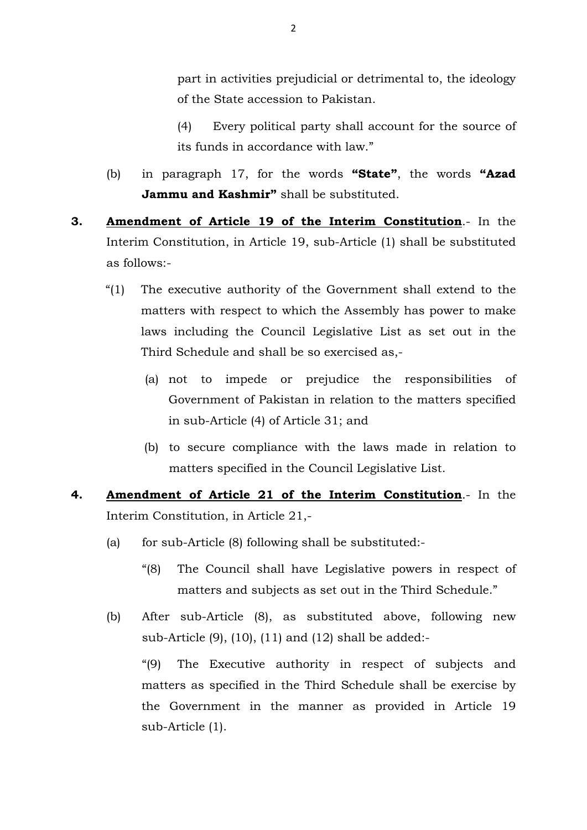part in activities prejudicial or detrimental to, the ideology of the State accession to Pakistan.

- (4) Every political party shall account for the source of its funds in accordance with law."
- (b) in paragraph 17, for the words **"State"**, the words **"Azad Jammu and Kashmir"** shall be substituted.
- **3. Amendment of Article 19 of the Interim Constitution**.- In the Interim Constitution, in Article 19, sub-Article (1) shall be substituted as follows:-
	- "(1) The executive authority of the Government shall extend to the matters with respect to which the Assembly has power to make laws including the Council Legislative List as set out in the Third Schedule and shall be so exercised as,-
		- (a) not to impede or prejudice the responsibilities of Government of Pakistan in relation to the matters specified in sub-Article (4) of Article 31; and
		- (b) to secure compliance with the laws made in relation to matters specified in the Council Legislative List.
- **4. Amendment of Article 21 of the Interim Constitution**.- In the Interim Constitution, in Article 21,-
	- (a) for sub-Article (8) following shall be substituted:-
		- "(8) The Council shall have Legislative powers in respect of matters and subjects as set out in the Third Schedule."
	- (b) After sub-Article (8), as substituted above, following new sub-Article (9), (10), (11) and (12) shall be added:-

"(9) The Executive authority in respect of subjects and matters as specified in the Third Schedule shall be exercise by the Government in the manner as provided in Article 19 sub-Article (1).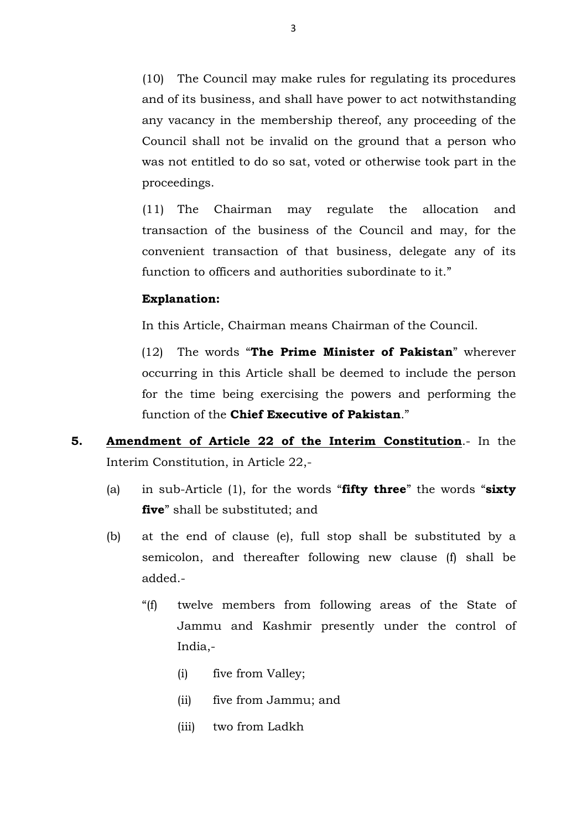(10) The Council may make rules for regulating its procedures and of its business, and shall have power to act notwithstanding any vacancy in the membership thereof, any proceeding of the Council shall not be invalid on the ground that a person who was not entitled to do so sat, voted or otherwise took part in the proceedings.

(11) The Chairman may regulate the allocation and transaction of the business of the Council and may, for the convenient transaction of that business, delegate any of its function to officers and authorities subordinate to it."

## **Explanation:**

In this Article, Chairman means Chairman of the Council.

(12) The words "**The Prime Minister of Pakistan**" wherever occurring in this Article shall be deemed to include the person for the time being exercising the powers and performing the function of the **Chief Executive of Pakistan**."

- **5. Amendment of Article 22 of the Interim Constitution**.- In the Interim Constitution, in Article 22,-
	- (a) in sub-Article (1), for the words "**fifty three**" the words "**sixty five**" shall be substituted; and
	- (b) at the end of clause (e), full stop shall be substituted by a semicolon, and thereafter following new clause (f) shall be added.-
		- "(f) twelve members from following areas of the State of Jammu and Kashmir presently under the control of India,-
			- (i) five from Valley;
			- (ii) five from Jammu; and
			- (iii) two from Ladkh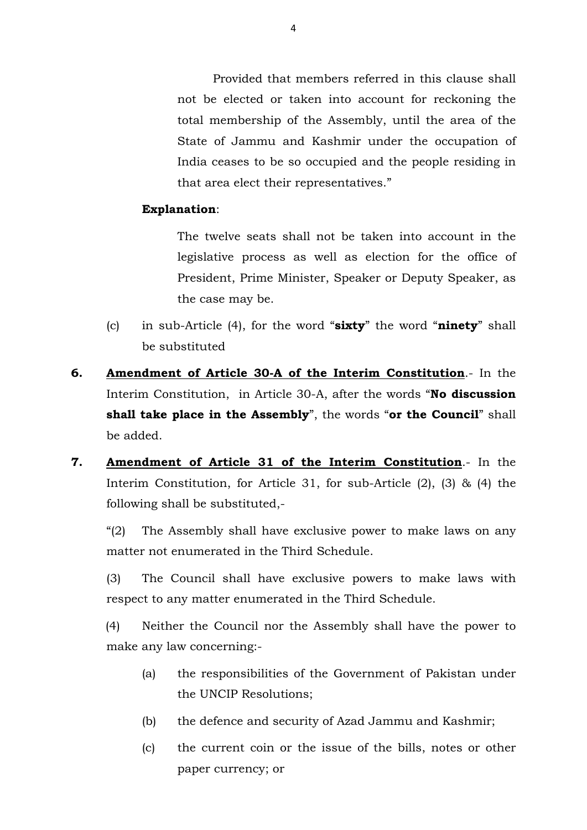Provided that members referred in this clause shall not be elected or taken into account for reckoning the total membership of the Assembly, until the area of the State of Jammu and Kashmir under the occupation of India ceases to be so occupied and the people residing in that area elect their representatives."

## **Explanation**:

 The twelve seats shall not be taken into account in the legislative process as well as election for the office of President, Prime Minister, Speaker or Deputy Speaker, as the case may be.

- (c) in sub-Article (4), for the word "**sixty**" the word "**ninety**" shall be substituted
- **6. Amendment of Article 30-A of the Interim Constitution**.- In the Interim Constitution, in Article 30-A, after the words "**No discussion shall take place in the Assembly**", the words "**or the Council**" shall be added.
- **7. Amendment of Article 31 of the Interim Constitution**.- In the Interim Constitution, for Article 31, for sub-Article (2), (3) & (4) the following shall be substituted,-

 "(2) The Assembly shall have exclusive power to make laws on any matter not enumerated in the Third Schedule.

 (3) The Council shall have exclusive powers to make laws with respect to any matter enumerated in the Third Schedule.

(4) Neither the Council nor the Assembly shall have the power to make any law concerning:-

- (a) the responsibilities of the Government of Pakistan under the UNCIP Resolutions;
- (b) the defence and security of Azad Jammu and Kashmir;
- (c) the current coin or the issue of the bills, notes or other paper currency; or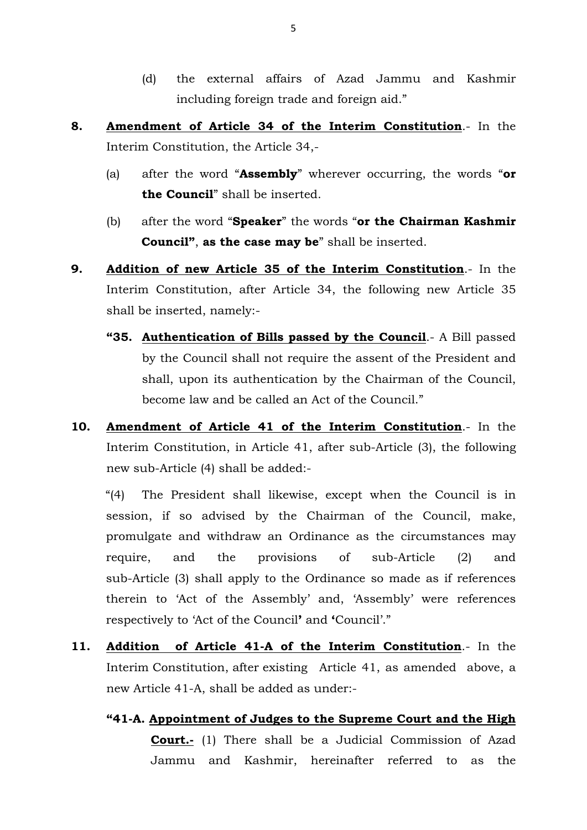- (d) the external affairs of Azad Jammu and Kashmir including foreign trade and foreign aid."
- **8. Amendment of Article 34 of the Interim Constitution**.- In the Interim Constitution, the Article 34,-
	- (a) after the word "**Assembly**" wherever occurring, the words "**or the Council**" shall be inserted.
	- (b) after the word "**Speaker**" the words "**or the Chairman Kashmir Council"**, **as the case may be**" shall be inserted.
- **9. Addition of new Article 35 of the Interim Constitution**.- In the Interim Constitution, after Article 34, the following new Article 35 shall be inserted, namely:-
	- **"35. Authentication of Bills passed by the Council**.- A Bill passed by the Council shall not require the assent of the President and shall, upon its authentication by the Chairman of the Council, become law and be called an Act of the Council."
- **10. Amendment of Article 41 of the Interim Constitution**.- In the Interim Constitution, in Article 41, after sub-Article (3), the following new sub-Article (4) shall be added:-

"(4) The President shall likewise, except when the Council is in session, if so advised by the Chairman of the Council, make, promulgate and withdraw an Ordinance as the circumstances may require, and the provisions of sub-Article (2) and sub-Article (3) shall apply to the Ordinance so made as if references therein to 'Act of the Assembly' and, 'Assembly' were references respectively to 'Act of the Council**'** and **'**Council'."

- **11. Addition of Article 41-A of the Interim Constitution**.- In the Interim Constitution, after existing Article 41, as amended above, a new Article 41-A, shall be added as under:-
	- **"41-A. Appointment of Judges to the Supreme Court and the High Court.-** (1) There shall be a Judicial Commission of Azad Jammu and Kashmir, hereinafter referred to as the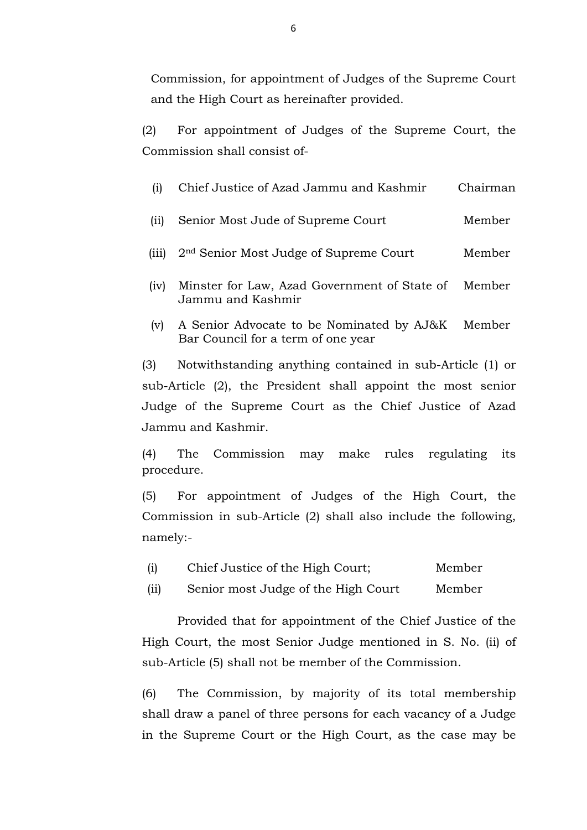Commission, for appointment of Judges of the Supreme Court and the High Court as hereinafter provided.

 (2) For appointment of Judges of the Supreme Court, the Commission shall consist of-

| $\rm(i)$ | Chief Justice of Azad Jammu and Kashmir                                         | Chairman |
|----------|---------------------------------------------------------------------------------|----------|
| (i)      | Senior Most Jude of Supreme Court                                               | Member   |
| (111)    | 2 <sup>nd</sup> Senior Most Judge of Supreme Court                              | Member   |
| (iv)     | Minster for Law, Azad Government of State of<br>Jammu and Kashmir               | Member   |
| (v)      | A Senior Advocate to be Nominated by AJ&K<br>Bar Council for a term of one year | Member   |
| 3)       | Notwithstanding anything contained in sub-Article (1) or                        |          |

sub-Article (2), the President shall appoint the most senior Judge of the Supreme Court as the Chief Justice of Azad Jammu and Kashmir.

 (4) The Commission may make rules regulating its procedure.

 (5) For appointment of Judges of the High Court, the Commission in sub-Article (2) shall also include the following, namely:-

| (i) | Chief Justice of the High Court; |  |  | Member |
|-----|----------------------------------|--|--|--------|
|-----|----------------------------------|--|--|--------|

(ii) Senior most Judge of the High Court Member

 Provided that for appointment of the Chief Justice of the High Court, the most Senior Judge mentioned in S. No. (ii) of sub-Article (5) shall not be member of the Commission.

 (6) The Commission, by majority of its total membership shall draw a panel of three persons for each vacancy of a Judge in the Supreme Court or the High Court, as the case may be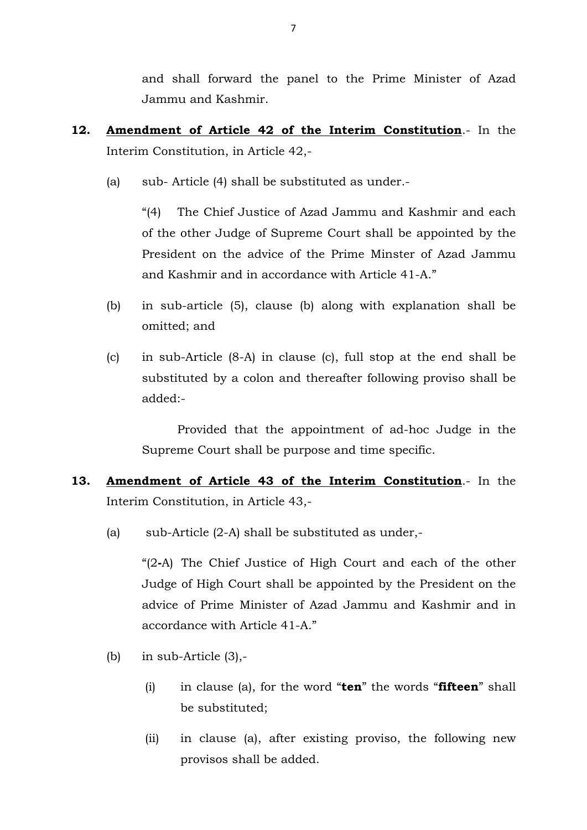and shall forward the panel to the Prime Minister of Azad Jammu and Kashmir.

- **12. Amendment of Article 42 of the Interim Constitution**.- In the Interim Constitution, in Article 42,-
	- (a) sub- Article (4) shall be substituted as under.-

 "(4) The Chief Justice of Azad Jammu and Kashmir and each of the other Judge of Supreme Court shall be appointed by the President on the advice of the Prime Minster of Azad Jammu and Kashmir and in accordance with Article 41-A."

- (b) in sub-article (5), clause (b) along with explanation shall be omitted; and
- (c) in sub-Article (8-A) in clause (c), full stop at the end shall be substituted by a colon and thereafter following proviso shall be added:-

 Provided that the appointment of ad-hoc Judge in the Supreme Court shall be purpose and time specific.

- **13. Amendment of Article 43 of the Interim Constitution**.- In the Interim Constitution, in Article 43,-
	- (a) sub-Article (2-A) shall be substituted as under,-

"(2**-**A) The Chief Justice of High Court and each of the other Judge of High Court shall be appointed by the President on the advice of Prime Minister of Azad Jammu and Kashmir and in accordance with Article 41-A."

- (b) in sub-Article  $(3)$ ,-
	- (i) in clause (a), for the word "**ten**" the words "**fifteen**" shall be substituted;
	- (ii) in clause (a), after existing proviso, the following new provisos shall be added.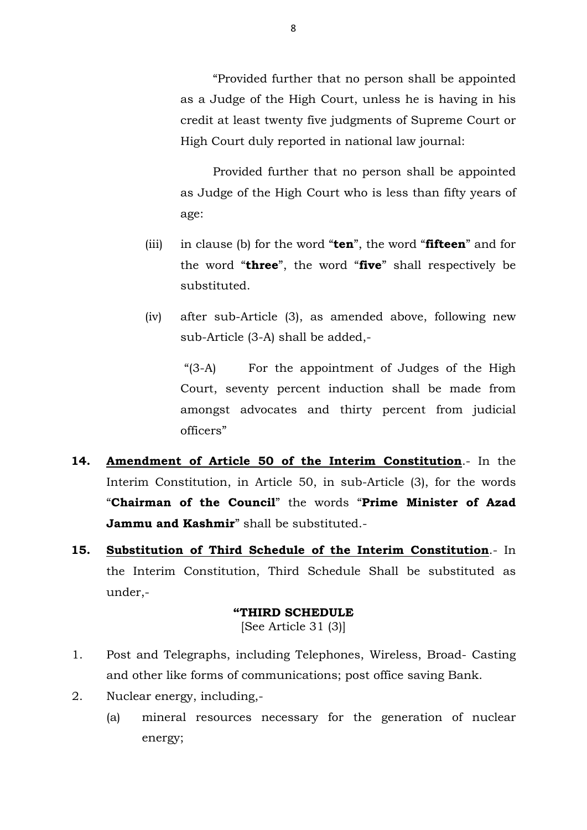"Provided further that no person shall be appointed as a Judge of the High Court, unless he is having in his credit at least twenty five judgments of Supreme Court or High Court duly reported in national law journal:

 Provided further that no person shall be appointed as Judge of the High Court who is less than fifty years of age:

- (iii) in clause (b) for the word "**ten**", the word "**fifteen**" and for the word "**three**", the word "**five**" shall respectively be substituted.
- (iv) after sub-Article (3), as amended above, following new sub-Article (3-A) shall be added,-

 "(3-A) For the appointment of Judges of the High Court, seventy percent induction shall be made from amongst advocates and thirty percent from judicial officers"

- **14. Amendment of Article 50 of the Interim Constitution**.- In the Interim Constitution, in Article 50, in sub-Article (3), for the words "**Chairman of the Council**" the words "**Prime Minister of Azad Jammu and Kashmir**" shall be substituted.-
- **15. Substitution of Third Schedule of the Interim Constitution**.- In the Interim Constitution, Third Schedule Shall be substituted as under,-

## **"THIRD SCHEDULE**  [See Article 31 (3)]

- 1. Post and Telegraphs, including Telephones, Wireless, Broad- Casting and other like forms of communications; post office saving Bank.
- 2. Nuclear energy, including,-
	- (a) mineral resources necessary for the generation of nuclear energy;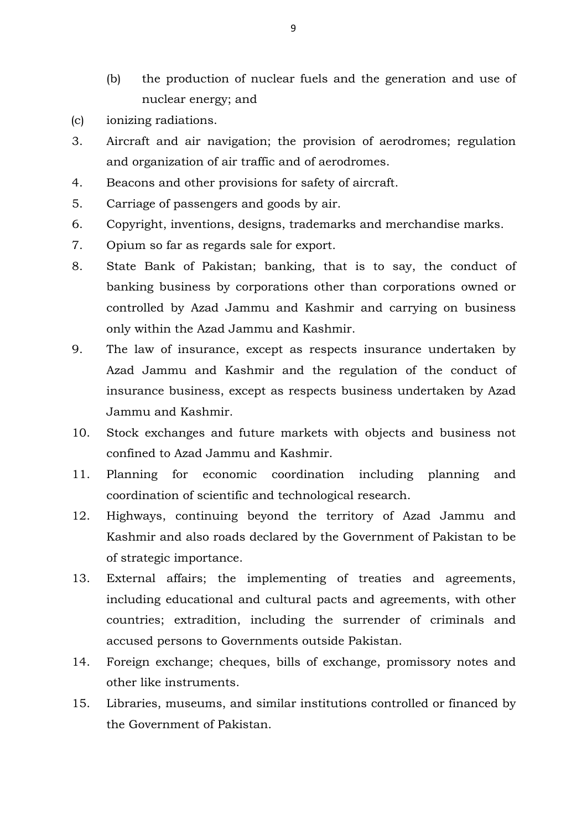- (b) the production of nuclear fuels and the generation and use of nuclear energy; and
- (c) ionizing radiations.
- 3. Aircraft and air navigation; the provision of aerodromes; regulation and organization of air traffic and of aerodromes.
- 4. Beacons and other provisions for safety of aircraft.
- 5. Carriage of passengers and goods by air.
- 6. Copyright, inventions, designs, trademarks and merchandise marks.
- 7. Opium so far as regards sale for export.
- 8. State Bank of Pakistan; banking, that is to say, the conduct of banking business by corporations other than corporations owned or controlled by Azad Jammu and Kashmir and carrying on business only within the Azad Jammu and Kashmir.
- 9. The law of insurance, except as respects insurance undertaken by Azad Jammu and Kashmir and the regulation of the conduct of insurance business, except as respects business undertaken by Azad Jammu and Kashmir.
- 10. Stock exchanges and future markets with objects and business not confined to Azad Jammu and Kashmir.
- 11. Planning for economic coordination including planning and coordination of scientific and technological research.
- 12. Highways, continuing beyond the territory of Azad Jammu and Kashmir and also roads declared by the Government of Pakistan to be of strategic importance.
- 13. External affairs; the implementing of treaties and agreements, including educational and cultural pacts and agreements, with other countries; extradition, including the surrender of criminals and accused persons to Governments outside Pakistan.
- 14. Foreign exchange; cheques, bills of exchange, promissory notes and other like instruments.
- 15. Libraries, museums, and similar institutions controlled or financed by the Government of Pakistan.

9